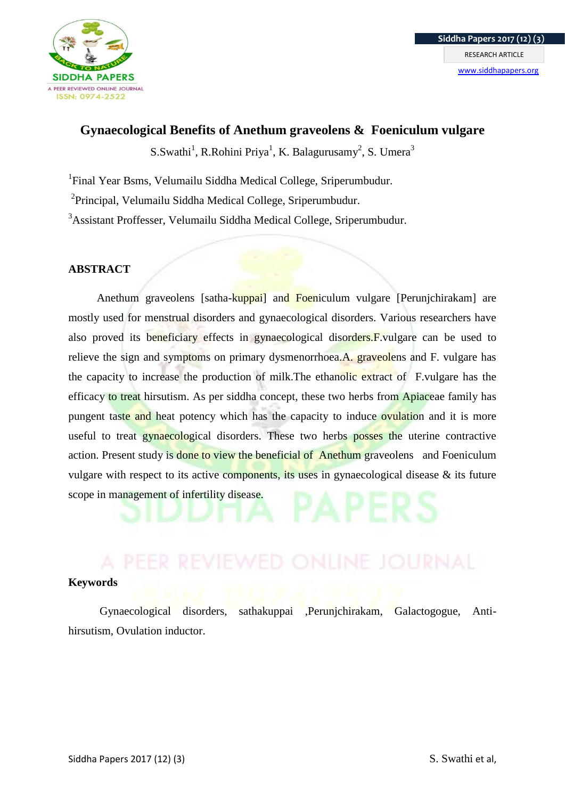

# **Gynaecological Benefits of Anethum graveolens & Foeniculum vulgare**

 $S.Swathi<sup>1</sup>, R.Rohini Priya<sup>1</sup>, K. Balagurusamy<sup>2</sup>, S. Umera<sup>3</sup>$ 

<sup>1</sup>Final Year Bsms, Velumailu Siddha Medical College, Sriperumbudur.

<sup>2</sup> Principal, Velumailu Siddha Medical College, Sriperumbudur.

<sup>3</sup>Assistant Proffesser, Velumailu Siddha Medical College, Sriperumbudur.

# **ABSTRACT**

Anethum graveolens [satha-kuppai] and Foeniculum vulgare [Perunichirakam] are mostly used for menstrual disorders and gynaecological disorders. Various researchers have also proved its beneficiary effects in gynaecological disorders.F.vulgare can be used to relieve the sign and symptoms on primary dysmenorrhoea.A. graveolens and F. vulgare has the capacity to increase the production of milk.The ethanolic extract of F.vulgare has the efficacy to treat hirsutism. As per siddha concept, these two herbs from Apiaceae family has pungent taste and heat potency which has the capacity to induce ovulation and it is more useful to treat gynaecological disorders. These two herbs posses the uterine contractive action. Present study is done to view the beneficial of Anethum graveolens and Foeniculum vulgare with respect to its active components, its uses in gynaecological disease & its future scope in management of infertility disease.

## **Keywords**

Gynaecological disorders, sathakuppai ,Perunjchirakam, Galactogogue, Antihirsutism, Ovulation inductor.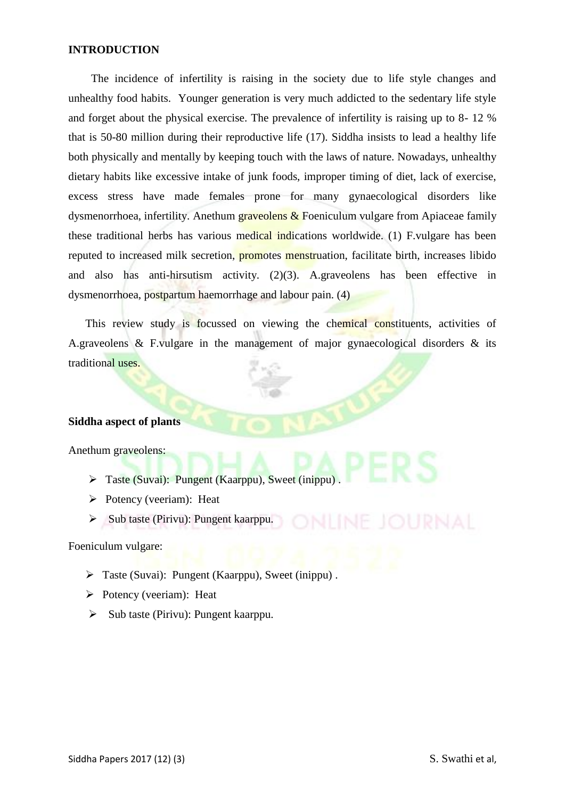## **INTRODUCTION**

 The incidence of infertility is raising in the society due to life style changes and unhealthy food habits. Younger generation is very much addicted to the sedentary life style and forget about the physical exercise. The prevalence of infertility is raising up to 8- 12 % that is 50-80 million during their reproductive life (17). Siddha insists to lead a healthy life both physically and mentally by keeping touch with the laws of nature. Nowadays, unhealthy dietary habits like excessive intake of junk foods, improper timing of diet, lack of exercise, excess stress have made females prone for many gynaecological disorders like dysmenorrhoea, infertility. Anethum graveolens  $\&$  Foeniculum vulgare from Apiaceae family these traditional herbs has various medical indications worldwide. (1) F.vulgare has been reputed to increased milk secretion, promotes menstruation, facilitate birth, increases libido and also has anti-hirsutism activity.  $(2)(3)$ . A.graveolens has been effective in dysmenorrhoea, postpartum haemorrhage and labour pain. (4)

This review study is focussed on viewing the chemical constituents, activities of A.graveolens & F.vulgare in the management of major gynaecological disorders & its traditional uses.

## **Siddha aspect of plants**

Anethum graveolens:

- Taste (Suvai): Pungent (Kaarppu), Sweet (inippu) .
- $\triangleright$  Potency (veeriam): Heat
- $\triangleright$  Sub taste (Pirivu): Pungent kaarppu.

Foeniculum vulgare:

- Taste (Suvai): Pungent (Kaarppu), Sweet (inippu) .
- $\triangleright$  Potency (veeriam): Heat
- $\triangleright$  Sub taste (Pirivu): Pungent kaarppu.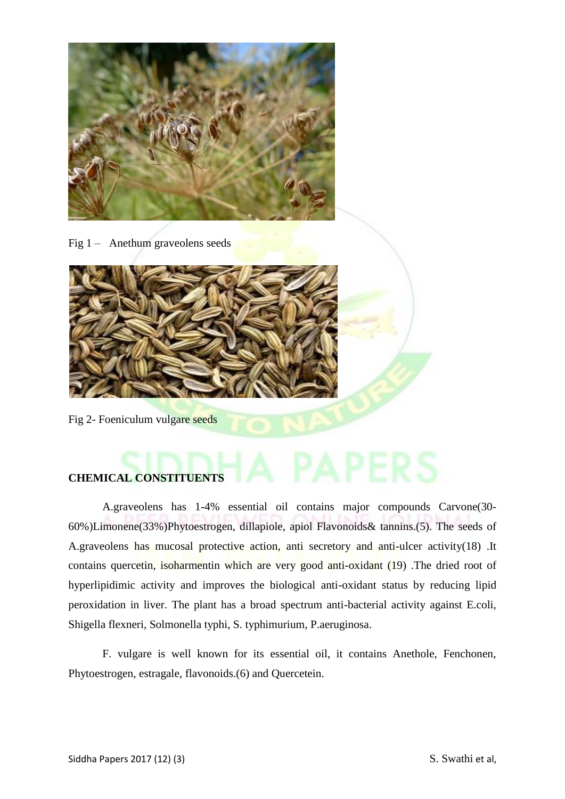

Fig 1 – Anethum graveolens seeds



Fig 2- Foeniculum vulgare seeds

# **CHEMICAL CONSTITUENTS**

A.graveolens has 1-4% essential oil contains major compounds Carvone(30- 60%)Limonene(33%)Phytoestrogen, dillapiole, apiol Flavonoids& tannins.(5). The seeds of A.graveolens has mucosal protective action, anti secretory and anti-ulcer activity(18) .It contains quercetin, isoharmentin which are very good anti-oxidant (19) .The dried root of hyperlipidimic activity and improves the biological anti-oxidant status by reducing lipid peroxidation in liver. The plant has a broad spectrum anti-bacterial activity against E.coli, Shigella flexneri, Solmonella typhi, S. typhimurium, P.aeruginosa.

F. vulgare is well known for its essential oil, it contains Anethole, Fenchonen, Phytoestrogen, estragale, flavonoids.(6) and Quercetein.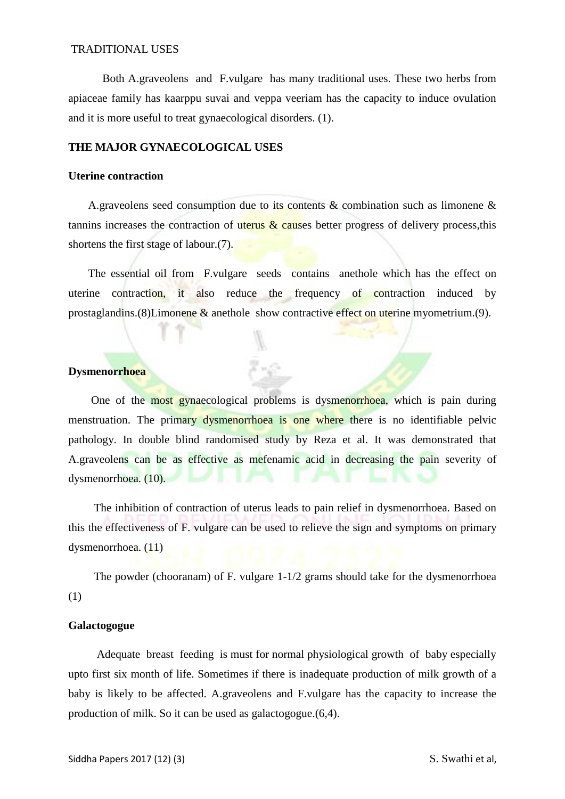#### TRADITIONAL USES

Both A.graveolens and F.vulgare has many traditional uses. These two herbs from apiaceae family has kaarppu suvai and veppa veeriam has the capacity to induce ovulation and it is more useful to treat gynaecological disorders. (1).

#### **THE MAJOR GYNAECOLOGICAL USES**

#### **Uterine contraction**

A.graveolens seed consumption due to its contents  $\&$  combination such as limonene  $\&$ tannins increases the contraction of uterus  $\&$  causes better progress of delivery process, this shortens the first stage of labour.(7).

 The essential oil from F.vulgare seeds contains anethole which has the effect on uterine contraction, it also reduce the frequency of contraction induced by prostaglandins.(8)Limonene & anethole show contractive effect on uterine myometrium.(9).

y.

## **Dysmenorrhoea**

 One of the most gynaecological problems is dysmenorrhoea, which is pain during menstruation. The primary dysmenorrhoea is one where there is no identifiable pelvic pathology. In double blind randomised study by Reza et al. It was demonstrated that A.graveolens can be as effective as mefenamic acid in decreasing the pain severity of dysmenorrhoea. (10).

 The inhibition of contraction of uterus leads to pain relief in dysmenorrhoea. Based on this the effectiveness of F. vulgare can be used to relieve the sign and symptoms on primary dysmenorrhoea. (11)

 The powder (chooranam) of F. vulgare 1-1/2 grams should take for the dysmenorrhoea (1)

#### **Galactogogue**

 Adequate breast feeding is must for normal physiological growth of baby especially upto first six month of life. Sometimes if there is inadequate production of milk growth of a baby is likely to be affected. A.graveolens and F.vulgare has the capacity to increase the production of milk. So it can be used as galactogogue.(6,4).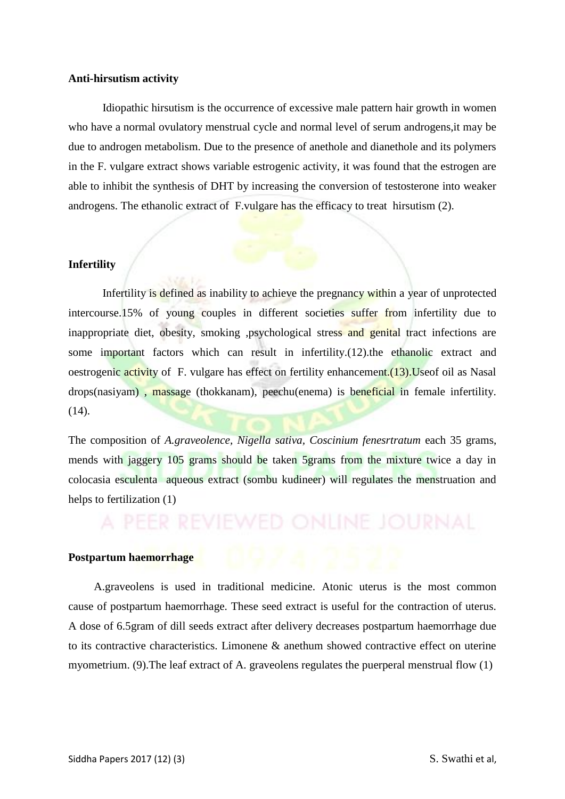#### **Anti-hirsutism activity**

 Idiopathic hirsutism is the occurrence of excessive male pattern hair growth in women who have a normal ovulatory menstrual cycle and normal level of serum androgens,it may be due to androgen metabolism. Due to the presence of anethole and dianethole and its polymers in the F. vulgare extract shows variable estrogenic activity, it was found that the estrogen are able to inhibit the synthesis of DHT by increasing the conversion of testosterone into weaker androgens. The ethanolic extract of F.vulgare has the efficacy to treat hirsutism (2).

## **Infertility**

 Infertility is defined as inability to achieve the pregnancy within a year of unprotected intercourse.15% of young couples in different societies suffer from infertility due to inappropriate diet, obesity, smoking ,psychological stress and genital tract infections are some important factors which can result in infertility.(12).the ethanolic extract and oestrogenic activity of F. vulgare has effect on fertility enhancement. (13). Use of oil as Nasal drops(nasiyam) , massage (thokkanam), peechu(enema) is beneficial in female infertility. (14).

The composition of *A.graveolence, Nigella sativa, Coscinium fenesrtratum* each 35 grams, mends with jaggery 105 grams should be taken 5grams from the mixture twice a day in colocasia esculenta aqueous extract (sombu kudineer) will regulates the menstruation and helps to fertilization (1)

#### **Postpartum haemorrhage**

 A.graveolens is used in traditional medicine. Atonic uterus is the most common cause of postpartum haemorrhage. These seed extract is useful for the contraction of uterus. A dose of 6.5gram of dill seeds extract after delivery decreases postpartum haemorrhage due to its contractive characteristics. Limonene & anethum showed contractive effect on uterine myometrium. (9).The leaf extract of A. graveolens regulates the puerperal menstrual flow (1)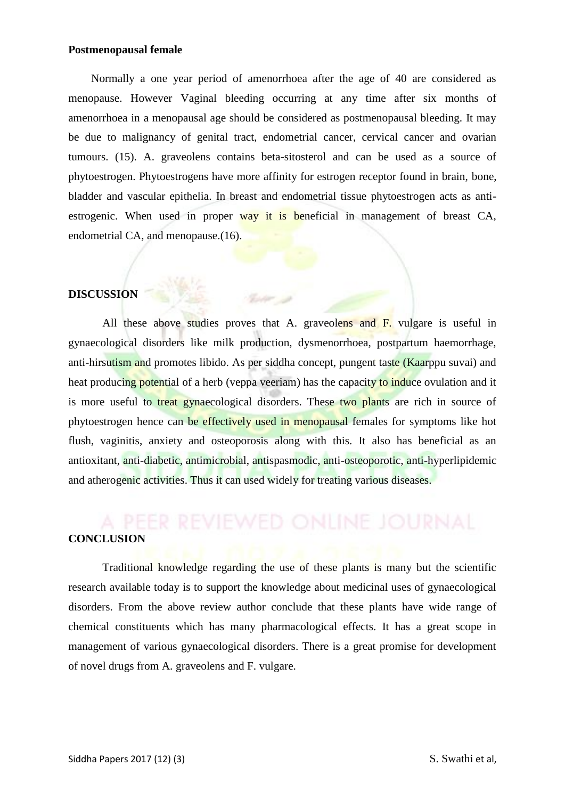#### **Postmenopausal female**

 Normally a one year period of amenorrhoea after the age of 40 are considered as menopause. However Vaginal bleeding occurring at any time after six months of amenorrhoea in a menopausal age should be considered as postmenopausal bleeding. It may be due to malignancy of genital tract, endometrial cancer, cervical cancer and ovarian tumours. (15). A. graveolens contains beta-sitosterol and can be used as a source of phytoestrogen. Phytoestrogens have more affinity for estrogen receptor found in brain, bone, bladder and vascular epithelia. In breast and endometrial tissue phytoestrogen acts as antiestrogenic. When used in proper way it is beneficial in management of breast CA, endometrial CA, and menopause.(16).

#### **DISCUSSION**

All these above studies proves that A. graveolens and F. vulgare is useful in gynaecological disorders like milk production, dysmenorrhoea, postpartum haemorrhage, anti-hirsutism and promotes libido. As per siddha concept, pungent taste (Kaarppu suvai) and heat producing potential of a herb (veppa veeriam) has the capacity to induce ovulation and it is more useful to treat gynaecological disorders. These two plants are rich in source of phytoestrogen hence can be effectively used in menopausal females for symptoms like hot flush, vaginitis, anxiety and osteoporosis along with this. It also has beneficial as an antioxitant, anti-diabetic, antimicrobial, antispasmodic, anti-osteoporotic, anti-hyperlipidemic and atherogenic activities. Thus it can used widely for treating various diseases.

# **CONCLUSION**

Traditional knowledge regarding the use of these plants is many but the scientific research available today is to support the knowledge about medicinal uses of gynaecological disorders. From the above review author conclude that these plants have wide range of chemical constituents which has many pharmacological effects. It has a great scope in management of various gynaecological disorders. There is a great promise for development of novel drugs from A. graveolens and F. vulgare.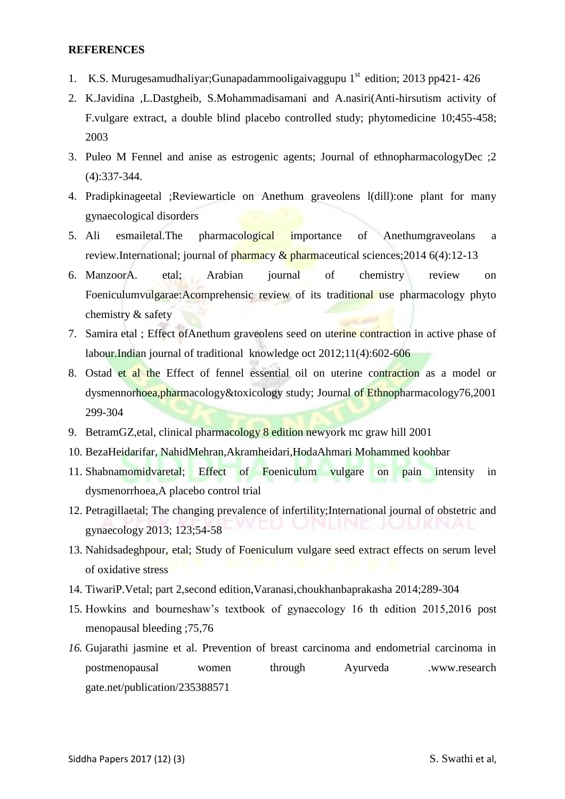# **REFERENCES**

- 1. K.S. Murugesamudhaliyar;Gunapadammooligaiyaggupu  $1<sup>st</sup>$  edition; 2013 pp421-426
- 2. K.Javidina ,L.Dastgheib, S.Mohammadisamani and A.nasiri(Anti-hirsutism activity of F.vulgare extract, a double blind placebo controlled study; phytomedicine 10;455-458; 2003
- 3. Puleo M Fennel and anise as estrogenic agents; Journal of ethnopharmacologyDec ;2 (4):337-344.
- 4. Pradipkinageetal ;Reviewarticle on Anethum graveolens l(dill):one plant for many gynaecological disorders
- 5. Ali esmailetal.The pharmacological importance of Anethumgraveolans a review.International; journal of pharmacy  $\&$  pharmaceutical sciences; 2014 6(4): 12-13
- 6. ManzoorA. etal; Arabian journal of chemistry review on Foeniculumvulgarae:Acomprehensic review of its traditional use pharmacology phyto chemistry & safety
- 7. Samira etal ; Effect ofAnethum graveolens seed on uterine contraction in active phase of labour.Indian journal of traditional knowledge oct 2012;11(4):602-606
- 8. Ostad et al the Effect of fennel essential oil on uterine contraction as a model or dysmennorhoea,pharmacology&toxicology study; Journal of Ethnopharmacology76,2001 299-304
- 9. BetramGZ,etal, clinical pharmacology 8 edition newyork mc graw hill 2001
- 10. BezaHeidarifar, NahidMehran,Akramheidari,HodaAhmari Mohammed koohbar
- 11. Shabnamomidvaretal; Effect of Foeniculum vulgare on pain intensity in dysmenorrhoea,A placebo control trial
- 12. Petragillaetal; The changing prevalence of infertility;International journal of obstetric and gynaecology 2013; 123;54-58
- 13. Nahidsadeghpour, etal; Study of Foeniculum vulgare seed extract effects on serum level of oxidative stress
- 14. TiwariP.Vetal; part 2,second edition,Varanasi,choukhanbaprakasha 2014;289-304
- 15. Howkins and bourneshaw's textbook of gynaecology 16 th edition 2015,2016 post menopausal bleeding ;75,76
- *16.* Gujarathi jasmine et al. Prevention of breast carcinoma and endometrial carcinoma in postmenopausal women through Ayurveda .www.research gate.net/publication/235388571